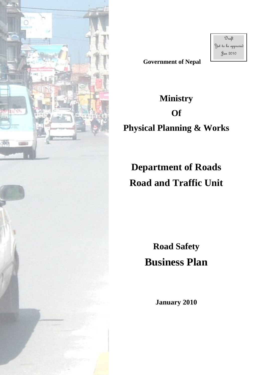

**Government of Nepal**

 $\mathfrak{D}_{\mathit{raft}}$ Yet to be approved Jan 2010

## **Ministry Of Physical Planning & Works**

# **Department of Roads Road and Traffic Unit**

**Road Safety Business Plan**

**January 2010**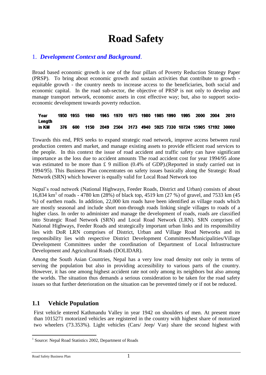## **Road Safety**

## 1. *Development Context and Background*.

Broad based economic growth is one of the four pillars of Poverty Reduction Strategy Paper (PRSP). To bring about economic growth and sustain activities that contribute to growth equitable growth - the country needs to increase access to the beneficiaries, both social and economic capital. In the road sub-sector, the objective of PRSP is not only to develop and manage transport network, economic assets in cost effective way; but, also to support socioeconomic development towards poverty reduction.

| Year   |  | 1950 1955 1960 1965 1970 1975 1980 1985 1990 1995 2000 |  |  |  |                                                                    | - 2004 | -2010 |
|--------|--|--------------------------------------------------------|--|--|--|--------------------------------------------------------------------|--------|-------|
| Length |  |                                                        |  |  |  |                                                                    |        |       |
| in KM  |  |                                                        |  |  |  | 376 600 1150 2049 2504 3173 4940 5925 7330 10724 15905 17192 30000 |        |       |

Towards this end, PRS seeks to expand strategic road network, improve access between rural production centers and market, and manage existing assets to provide efficient road services to the people. In this context the issue of road accident and traffic safety can have significant importance as the loss due to accident amounts The road accident cost for year 1994/95 alone was estimated to be more than £ 9 million (0.4% of GDP).(Reported in study carried out in 1994/95). This Business Plan concentrates on safety issues basically along the Strategic Road Network (SRN) which however is equally valid for Local Road Network too

Nepal's road network (National Highways, Feeder Roads, District and Urban) consists of about 16,834 km<sup>1</sup> of roads - 4780 km (28%) of black top, 4519 km (27 %) of gravel, and 7533 km (45 %) of earthen roads. In addition, 22,000 km roads have been identified as village roads which are mostly seasonal and include short non-through roads linking single villages to roads of a higher class. In order to administer and manage the development of roads, roads are classified into Strategic Road Network (SRN) and Local Road Network (LRN). SRN comprises of National Highways, Feeder Roads and strategically important urban links and its responsibility lies with DoR LRN comprises of District, Urban and Village Road Networks and its responsibility lies with respective District Development Committees/Municipalities/Village Development Committees under the coordination of Department of Local Infrastructure Development and Agricultural Roads (DOLIDAR).

Among the South Asian Countries, Nepal has a very low road density not only in terms of serving the population but also in providing accessibility to various parts of the country. However, it has one among highest accident rate not only among its neighbors but also among the worlds. The situation thus demands a serious consideration to be taken for the road safety issues so that further deterioration on the situation can be prevented timely or if not be reduced.

## **1.1 Vehicle Population**

First vehicle entered Kathmandu Valley in year 1942 on shoulders of men. At present more than 1015271 motorized vehicles are registered in the country with highest share of motorized two wheelers (73.353%). Light vehicles (Cars/ Jeep/ Van) share the second highest with

Road Safety Business Plan 1

<sup>1</sup> <sup>1</sup> Source: Nepal Road Statistics 2002, Department of Roads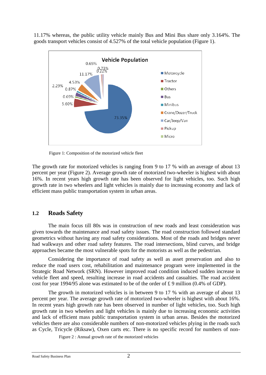11.17% whereas, the public utility vehicle mainly Bus and Mini Bus share only 3.164%. The goods transport vehicles consist of 4.527% of the total vehicle population (Figure 1).



Figure 1: Composition of the motorized vehicle fleet

The growth rate for motorized vehicles is ranging from 9 to 17 % with an average of about 13 percent per year (Figure 2). Average growth rate of motorized two-wheeler is highest with about 16%. In recent years high growth rate has been observed for light vehicles, too. Such high growth rate in two wheelers and light vehicles is mainly due to increasing economy and lack of efficient mass public transportation system in urban areas.

## **1.2 Roads Safety**

The main focus till 80s was in construction of new roads and least consideration was given towards the maintenance and road safety issues. The road construction followed standard geometrics without having any road safety considerations. Most of the roads and bridges never had walkways and other road safety features. The road intersections, blind curves, and bridge approaches became the most vulnerable spots for the motorists as well as the pedestrian.

Considering the importance of road safety as well as asset preservation and also to reduce the road users cost, rehabilitation and maintenance program were implemented in the Strategic Road Network (SRN). However improved road condition induced sudden increase in vehicle fleet and speed, resulting increase in road accidents and casualties. The road accident cost for year 1994/95 alone was estimated to be of the order of £ 9 million (0.4% of GDP).

The growth in motorized vehicles is in between 9 to 17 % with an average of about 13 percent per year. The average growth rate of motorized two-wheeler is highest with about 16%. In recent years high growth rate has been observed in number of light vehicles, too. Such high growth rate in two wheelers and light vehicles is mainly due to increasing economic activities and lack of efficient mass public transportation system in urban areas. Besides the motorized vehicles there are also considerable numbers of non-motorized vehicles plying in the roads such as Cycle, Tricycle (Riksaw), Oxen carts etc. There is no specific record for numbers of non-

Figure 2 : Annual growth rate of the motorized vehicles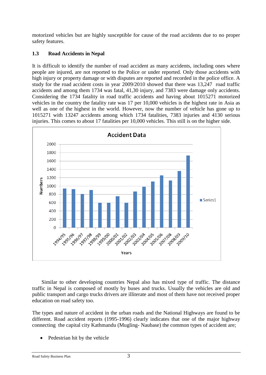motorized vehicles but are highly susceptible for cause of the road accidents due to no proper safety features.

#### **1.3 Road Accidents in Nepal**

It is difficult to identify the number of road accident as many accidents, including ones where people are injured, are not reported to the Police or under reported. Only those accidents with high injury or property damage or with disputes are reported and recorded in the police office. A study for the road accident costs in year 2009/2010 showed that there was 13,247 road traffic accidents and among them 1734 was fatal, 41,30 injury, and 7383 were damage only accidents. Considering the 1734 fatality in road traffic accidents and having about 1015271 motorized vehicles in the country the fatality rate was 17 per 10,000 vehicles is the highest rate in Asia as well as one of the highest in the world. However, now the number of vehicle has gone up to 1015271 with 13247 accidents among which 1734 fatalities, 7383 injuries and 4130 serious injuries. This comes to about 17 fatalities per 10,000 vehicles. This still is on the higher side.



Similar to other developing countries Nepal also has mixed type of traffic. The distance traffic in Nepal is composed of mostly by buses and trucks. Usually the vehicles are old and public transport and cargo trucks drivers are illiterate and most of them have not received proper education on road safety too.

The types and nature of accident in the urban roads and the National Highways are found to be different. Road accident reports (1995-1996) clearly indicates that one of the major highway connecting the capital city Kathmandu (Mugling- Naubase) the common types of accident are;

Pedestrian hit by the vehicle

Road Safety Business Plan 3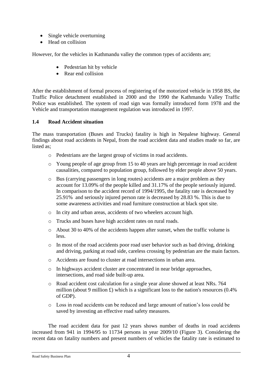- Single vehicle overturning
- Head on collision

However, for the vehicles in Kathmandu valley the common types of accidents are;

- Pedestrian hit by vehicle
- Rear end collision

After the establishment of formal process of registering of the motorized vehicle in 1958 BS, the Traffic Police detachment established in 2000 and the 1990 the Kathmandu Valley Traffic Police was established. The system of road sign was formally introduced form 1978 and the Vehicle and transportation management regulation was introduced in 1997.

#### **1.4 Road Accident situation**

The mass transportation (Buses and Trucks) fatality is high in Nepalese highway. General findings about road accidents in Nepal, from the road accident data and studies made so far, are listed as;

- o Pedestrians are the largest group of victims in road accidents.
- o Young people of age group from 15 to 40 years are high percentage in road accident causalities, compared to population group, followed by elder people above 50 years.
- o Bus (carrying passengers in long routes) accidents are a major problem as they account for 13.09% of the people killed and 31.17% of the people seriously injured. In comparison to the accident record of 1994/1995, the fatality rate is decreased by 25.91% and seriously injured person rate is decreased by 28.83 %. This is due to some awareness activities and road furniture construction at black spot site.
- o In city and urban areas, accidents of two wheelers account high.
- o Trucks and buses have high accident rates on rural roads.
- o About 30 to 40% of the accidents happen after sunset, when the traffic volume is less.
- o In most of the road accidents poor road user behavior such as bad driving, drinking and driving, parking at road side, careless crossing by pedestrian are the main factors.
- o Accidents are found to cluster at road intersections in urban area.
- o In highways accident cluster are concentrated in near bridge approaches, intersections, and road side built-up area.
- o Road accident cost calculation for a single year alone showed at least NRs. 764 million (about 9 million  $\pounds$ ) which is a significant loss to the nation's resources (0.4%) of GDP).
- o Loss in road accidents can be reduced and large amount of nation's loss could be saved by investing an effective road safety measures.

The road accident data for past 12 years shows number of deaths in road accidents increased from 941 in 1994/95 to 11734 persons in year 2009/10 (Figure 3). Considering the recent data on fatality numbers and present numbers of vehicles the fatality rate is estimated to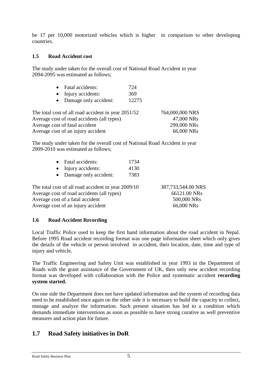be 17 per 10,000 motorized vehicles which is higher in comparison to other developing countries.

#### **1.5 Road Accident cost**

The study under taken for the overall cost of National Road Accident in year 2094-2095 was estimated as follows;

| • Fatal accidents:                                  | 724   |                 |
|-----------------------------------------------------|-------|-----------------|
| • Injury accidents:                                 | 369   |                 |
| • Damage only accident:                             | 12275 |                 |
| The total cost of all road accident in year 2051/52 |       | 764,000,000 NRS |
| Average cost of road accidents (all types)          |       | 47,000 NRs      |
| Average cost of fatal accident                      |       | 299,000 NRs     |
| Average cost of an injury accident                  |       | 66,000 NRs      |

The study under taken for the overall cost of National Road Accident in year 2009-2010 was estimated as follows;

|                                            | • Fatal accidents:                                  | 1734 |                    |
|--------------------------------------------|-----------------------------------------------------|------|--------------------|
|                                            | • Injury accidents:                                 | 4130 |                    |
|                                            | • Damage only accident:                             | 7383 |                    |
|                                            | The total cost of all road accident in year 2009/10 |      | 387,733,544.00 NRS |
| Average cost of road accidents (all types) |                                                     |      | 66121.00 NRs       |

| 387,733,544.00 NRS |
|--------------------|
| 66121.00 NRs       |
| 500,000 NRs        |
| 66,000 NRs         |

#### **1.6 Road Accident Recording**

Average cost of a fatal accident Average cost of an injury accident

Local Traffic Police used to keep the first hand information about the road accident in Nepal. Before 1995 Road accident recording format was one page information sheet which only gives the details of the vehicle or person involved in accident, their location, date, time and type of injury and vehicle.

The Traffic Engineering and Safety Unit was established in year 1993 in the Department of Roads with the grant assistance of the Government of UK, then only new accident recording format was developed with collaboration with the Police and systematic accident **recording system started.**

On one side the Department does not have updated information and the system of recording data need to be established once again on the other side it is necessary to build the capacity to collect, manage and analyze the information. Such present situation has led to a condition which demands immediate interventions as soon as possible to have strong curative as well preventive measures and action plan for future.

## **1.7 Road Safety initiatives in DoR**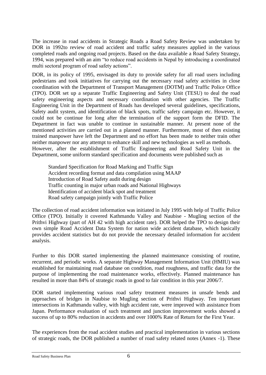The increase in road accidents in Strategic Roads a Road Safety Review was undertaken by DOR in 1992to review of road accident and traffic safety measures applied in the various completed roads and ongoing road projects. Based on the data available a Road Safety Strategy, 1994, was prepared with an aim "to reduce road accidents in Nepal by introducing a coordinated multi sectoral program of road safety actions".

DOR, in its policy of 1995, envisaged its duty to provide safety for all road users including pedestrians and took initiatives for carrying out the necessary road safety activities in close coordination with the Department of Transport Management (DOTM) and Traffic Police Office (TPO). DOR set up a separate Traffic Engineering and Safety Unit (TESU) to deal the road safety engineering aspects and necessary coordination with other agencies. The Traffic Engineering Unit in the Department of Roads has developed several guidelines, specifications, Safety audit system, and identification of black spots, traffic safety campaign etc. However, it could not be continue for long after the termination of the support form the DFID. The Department in fact was unable to continue in sustainable manner. At present none of the mentioned activities are carried out in a planned manner. Furthermore, most of then existing trained manpower have left the Department and no effort has been made to neither train other neither manpower nor any attempt to enhance skill and new technologies as well as methods. However, after the establishment of Traffic Engineering and Road Safety Unit in the Department, some uniform standard specification and documents were published such as

Standard Specification for Road Marking and Traffic Sign Accident recording format and data compilation using MAAP Introduction of Road Safety audit during design Traffic counting in major urban roads and National Highways Identification of accident black spot and treatment Road safety campaign jointly with Traffic Police

The collection of road accident information was initiated in July 1995 with help of Traffic Police Office (TPO). Initially it covered Kathmandu Valley and Naubise - Mugling section of the Prithvi Highway (part of AH 42 with high accident rate). DOR helped the TPO to design their own simple Road Accident Data System for nation wide accident database, which basically provides accident statistics but do not provide the necessary detailed information for accident analysis.

Further to this DOR started implementing the planned maintenance consisting of routine, recurrent, and periodic works. A separate Highway Management Information Unit (HMIU) was established for maintaining road database on condition, road roughness, and traffic data for the purpose of implementing the road maintenance works, effectively. Planned maintenance has resulted in more than 84% of strategic roads in good to fair condition in this year 2006/7.

DOR started implementing various road safety treatment measures in unsafe bends and approaches of bridges in Naubise to Mugling section of Prithvi Highway. Ten important intersections in Kathmandu valley, with high accident rate, were improved with assistance from Japan. Performance evaluation of such treatment and junction improvement works showed a success of up to 80% reduction in accidents and over 1000% Rate of Return for the First Year.

The experiences from the road accident studies and practical implementation in various sections of strategic roads, the DOR published a number of road safety related notes (Annex -1). These

Road Safety Business Plan 6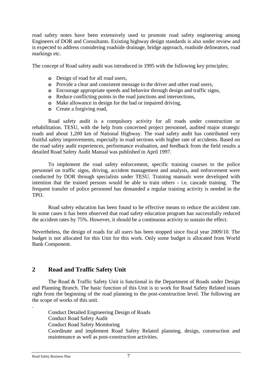road safety notes have been extensively used to promote road safety engineering among Engineers of DOR and Consultants. Existing highway design standards is also under review and is expected to address considering roadside drainage, bridge approach, roadside delineators, road markings etc.

The concept of Road safety audit was introduced in 1995 with the following key principles;

- **o** Design of road for all road users,
- **o** Provide a clear and consistent message to the driver and other road users,
- **o** Encourage appropriate speeds and behavior through design and traffic signs,
- **o** Reduce conflicting points in the road junctions and intersections,
- **o** Make allowance in design for the bad or impaired driving,
- **o** Create a forgiving road,

Road safety audit is a compulsory activity for all roads under construction or rehabilitation. TESU, with the help from concerned project personnel, audited major strategic roads and about 1,200 km of National Highway. The road safety audit has contributed very fruitful safety improvements, especially in road sections with higher rate of accidents. Based on the road safety audit experiences, performance evaluation, and feedback from the field results a detailed Road Safety Audit Manual was published in April 1997.

To implement the road safety enforcement, specific training courses to the police personnel on traffic signs, driving, accident management and analysis, and enforcement were conducted by DOR through specialists under TESU. Training manuals were developed with intention that the trained persons would be able to train others - i.e. cascade training. The frequent transfer of police personnel has demanded a regular training activity is needed in the TPO.

Road safety education has been found to be effective means to reduce the accident rate. In some cases it has been observed that road safety education program has successfully reduced the accident rates by 75%. However, it should be a continuous activity to sustain the effect.

Nevertheless, the design of roads for all users has been stopped since fiscal year 2009/10. The budget is not allocated for this Unit for this work. Only some budget is allocated from World Bank Component.

#### **2 Road and Traffic Safety Unit**

The Road & Traffic Safety Unit is functional in the Department of Roads under Design and Planning Branch. The basic function of this Unit is to work for Road Safety Related issues right from the beginning of the road planning to the post-construction level. The following are the scope of works of this unit.

Conduct Detailed Engineering Design of Roads Conduct Road Safety Audit

Conduct Road Safety Monitoring

Coordinate and implement Road Safety Related planning, design, construction and maintenance as well as post-construction activities.

.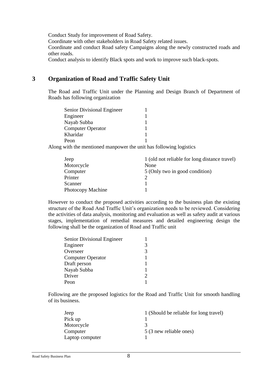Conduct Study for improvement of Road Safety.

Coordinate with other stakeholders in Road Safety related issues.

Coordinate and conduct Road safety Campaigns along the newly constructed roads and other roads.

Conduct analysis to identify Black spots and work to improve such black-spots.

### **3 Organization of Road and Traffic Safety Unit**

The Road and Traffic Unit under the Planning and Design Branch of Department of Roads has following organization

| Senior Divisional Engineer |  |
|----------------------------|--|
| Engineer                   |  |
| Nayab Subba                |  |
| <b>Computer Operator</b>   |  |
| Kharidar                   |  |
| Peon                       |  |

Along with the mentioned manpower the unit has following logistics

| Jeep              | 1 (old not reliable for long distance travel) |
|-------------------|-----------------------------------------------|
| Motorcycle        | None                                          |
| Computer          | 5 (Only two in good condition)                |
| Printer           |                                               |
| Scanner           |                                               |
| Photocopy Machine |                                               |

However to conduct the proposed activities according to the business plan the existing structure of the Road And Traffic Unit's organization needs to be reviewed. Considering the activities of data analysis, monitoring and evaluation as well as safety audit at various stages, implementation of remedial measures and detailed engineering design the following shall be the organization of Road and Traffic unit

| Senior Divisional Engineer |   |
|----------------------------|---|
| Engineer                   | 3 |
| Overseer                   | 3 |
| <b>Computer Operator</b>   |   |
| Draft person               |   |
| Nayab Subba                |   |
| Driver                     | っ |
| Peon                       |   |

Following are the proposed logistics for the Road and Traffic Unit for smooth handling of its business.

| Jeep            | 1 (Should be reliable for long travel) |
|-----------------|----------------------------------------|
| Pick up         |                                        |
| Motorcycle      |                                        |
| Computer        | 5 (3 new reliable ones)                |
| Laptop computer |                                        |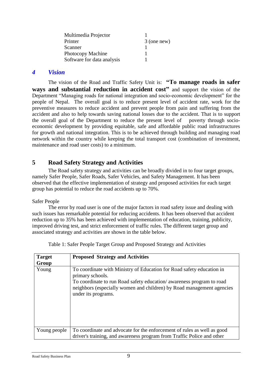| Multimedia Projector       |               |
|----------------------------|---------------|
| Printer                    | $3$ (one new) |
| Scanner                    |               |
| Photocopy Machine          |               |
| Software for data analysis |               |

#### *4 Vision*

The vision of the Road and Traffic Safety Unit is: **"To manage roads in safer ways and substantial reduction in accident cost"** and support the vision of the Department "Managing roads for national integration and socio-economic development" for the people of Nepal. The overall goal is to reduce present level of accident rate, work for the preventive measures to reduce accident and prevent people from pain and suffering from the accident and also to help towards saving national losses due to the accident. That is to support the overall goal of the Department to reduce the present level of poverty through socioeconomic development by providing equitable, safe and affordable public road infrastructures for growth and national integration. This is to be achieved through building and managing road network within the country while keeping the total transport cost (combination of investment, maintenance and road user costs) to a minimum.

#### **5 Road Safety Strategy and Activities**

The Road safety strategy and activities can be broadly divided in to four target groups, namely Safer People, Safer Roads, Safer Vehicles, and Safety Management. It has been observed that the effective implementation of strategy and proposed activities for each target group has potential to reduce the road accidents up to 70%.

#### Safer People

The error by road user is one of the major factors in road safety issue and dealing with such issues has remarkable potential for reducing accidents. It has been observed that accident reduction up to 35% has been achieved with implementation of education, training, publicity, improved driving test, and strict enforcement of traffic rules. The different target group and associated strategy and activities are shown in the table below.

| <b>Target</b><br>Group | <b>Proposed Strategy and Activities</b>                                                                                                                                                                                                                           |
|------------------------|-------------------------------------------------------------------------------------------------------------------------------------------------------------------------------------------------------------------------------------------------------------------|
| Young                  | To coordinate with Ministry of Education for Road safety education in<br>primary schools.<br>To coordinate to run Road safety education/awareness program to road<br>neighbors (especially women and children) by Road management agencies<br>under its programs. |
| Young people           | To coordinate and advocate for the enforcement of rules as well as good<br>driver's training, and awareness program from Traffic Police and other                                                                                                                 |

Table 1: Safer People Target Group and Proposed Strategy and Activities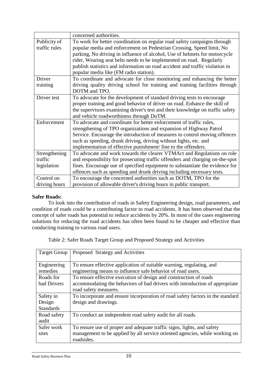|               | concerned authorities.                                                        |
|---------------|-------------------------------------------------------------------------------|
| Publicity of  | To work for better coordination on regular road safety campaigns through      |
| traffic rules | popular media and enforcement on Pedestrian Crossing, Speed limit, No         |
|               | parking, No driving in influence of alcohol, Use of helmets for motorcycle    |
|               | rider, Wearing seat belts needs to be implemented on road. Regularly          |
|               | publish statistics and information on road accident and traffic violation in  |
|               | popular media like (FM radio station).                                        |
| Driver        | To coordinate and advocate for close monitoring and enhancing the better      |
| training      | driving quality driving school for training and training facilities through   |
|               | DOTM and TPO.                                                                 |
| Driver test   | To advocate for the development of standard driving tests to encourage        |
|               | proper training and good behavior of driver on road. Enhance the skill of     |
|               | the supervisors examining driver's test and their knowledge on traffic safety |
|               | and vehicle roadworthiness through DoTM.                                      |
| Enforcement   | To advocate and coordinate for better enforcement of traffic rules,           |
|               | strengthening of TPO organizations and expansion of Highway Patrol            |
|               | Service. Encourage the introduction of measures to control moving offences    |
|               | such as speeding, drunk driving, driving without lights, etc. and             |
|               | implementation of effective punishment/fine to the offenders.                 |
| Strengthening | To advocate and work towards the clearer VTMAct and Regulations on role       |
| traffic       | and responsibility for prosecuting traffic offenders and charging on-the-spot |
| legislation   | fines. Encourage use of specified equipment to substantiate the evidence for  |
|               | offences such as speeding and drunk driving including necessary tests.        |
| Control on    | To encourage the concerned authorities such as DOTM, TPO for the              |
| driving hours | provision of allowable driver's driving hours in public transport.            |

#### **Safer Roads:**

To look into the contribution of roads in Safety Engineering design, road parameters, and condition of roads could be a contributing factor to road accidents. It has been observed that the concept of safer roads has potential to reduce accidents by 20%. In most of the cases engineering solutions for reducing the road accidents has often been found to be cheaper and effective than conducting training to various road users.

Table 2: Safer Roads Target Group and Proposed Strategy and Activities

| <b>Target Group</b> | Proposed Strategy and Activities                                               |
|---------------------|--------------------------------------------------------------------------------|
| Engineering         | To ensure effective application of suitable warning, regulating, and           |
| remedies            | engineering means to influence safe behavior of road users.                    |
| Roads for           | To ensure effective execution of design and construction of roads              |
| bad Drivers         | accommodating the behaviors of bad drivers with introduction of appropriate    |
|                     | road safety measures.                                                          |
| Safety in           | To incorporate and ensure incorporation of road safety factors in the standard |
| Design              | design and drawings.                                                           |
| <b>Standards</b>    |                                                                                |
| Road safety         | To conduct an independent road safety audit for all roads.                     |
| audit               |                                                                                |
| Safer work          | To ensure use of proper and adequate traffic signs, lights, and safety         |
| sites               | management to be applied by all service oriented agencies, while working on    |
|                     | roadsides.                                                                     |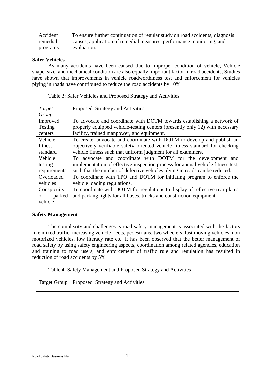| Accident | To ensure further continuation of regular study on road accidents, diagnosis |
|----------|------------------------------------------------------------------------------|
| remedial | causes, application of remedial measures, performance monitoring, and        |
| programs | evaluation.                                                                  |

#### **Safer Vehicles**

As many accidents have been caused due to improper condition of vehicle, Vehicle shape, size, and mechanical condition are also equally important factor in road accidents, Studies have shown that improvements in vehicle roadworthiness test and enforcement for vehicles plying in roads have contributed to reduce the road accidents by 10%.

| Target       | Proposed Strategy and Activities                                                |
|--------------|---------------------------------------------------------------------------------|
| Group        |                                                                                 |
| Improved     | To advocate and coordinate with DOTM towards establishing a network of          |
| Testing      | properly equipped vehicle-testing centers (presently only 12) with necessary    |
| centers      | facility, trained manpower, and equipment.                                      |
| Vehicle      | To create, advocate and coordinate with DOTM to develop and publish an          |
| fitness      | objectively verifiable safety oriented vehicle fitness standard for checking    |
| standard     | vehicle fitness such that uniform judgment for all examiners.                   |
| Vehicle      | To advocate and coordinate with DOTM for the development and                    |
| testing      | implementation of effective inspection process for annual vehicle fitness test, |
| requirements | such that the number of defective vehicles plying in roads can be reduced.      |
| Overloaded   | To coordinate with TPO and DOTM for initiating program to enforce the           |
| vehicles     | vehicle loading regulations.                                                    |
| Conspicuity  | To coordinate with DOTM for regulations to display of reflective rear plates    |
| parked<br>οf | and parking lights for all buses, trucks and construction equipment.            |
| vehicle      |                                                                                 |

Table 3: Safer Vehicles and Proposed Strategy and Activities

#### **Safety Management**

The complexity and challenges is road safety management is associated with the factors like mixed traffic, increasing vehicle fleets, pedestrians, two wheelers, fast moving vehicles, non motorized vehicles, low literacy rate etc. It has been observed that the better management of road safety by using safety engineering aspects, coordination among related agencies, education and training to road users, and enforcement of traffic rule and regulation has resulted in reduction of road accidents by 5%.

Table 4: Safety Management and Proposed Strategy and Activities

| Target Group   Proposed Strategy and Activities |
|-------------------------------------------------|
|                                                 |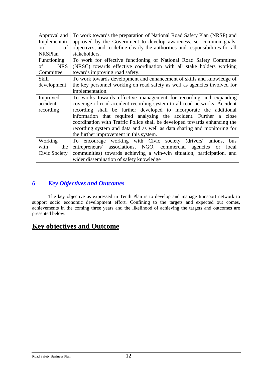| Approval and     | To work towards the preparation of National Road Safety Plan (NRSP) and        |
|------------------|--------------------------------------------------------------------------------|
| Implementati     | approved by the Government to develop awareness, set common goals,             |
| of<br>on         | objectives, and to define clearly the authorities and responsibilities for all |
| <b>NRSPlan</b>   | stakeholders.                                                                  |
| Functioning      | To work for effective functioning of National Road Safety Committee            |
| of<br><b>NRS</b> | (NRSC) towards effective coordination with all stake holders working           |
| Committee        | towards improving road safety.                                                 |
| Skill            | To work towards development and enhancement of skills and knowledge of         |
| development      | the key personnel working on road safety as well as agencies involved for      |
|                  | implementation.                                                                |
| Improved         | To works towards effective management for recording and expanding              |
| accident         | coverage of road accident recording system to all road networks. Accident      |
| recording        | recording shall be further developed to incorporate the additional             |
|                  | information that required analyzing the accident. Further a close              |
|                  | coordination with Traffic Police shall be developed towards enhancing the      |
|                  | recording system and data and as well as data sharing and monitoring for       |
|                  | the further improvement in this system.                                        |
| Working          | To encourage working with Civic society (drivers' unions,<br>bus               |
| with<br>the      | entrepreneurs' associations, NGO, commercial agencies or<br>local              |
| Civic Society    | communities) towards achieving a win-win situation, participation, and         |
|                  | wider dissemination of safety knowledge                                        |

## *6 Key Objectives and Outcomes*

The key objective as expressed in Tenth Plan is to develop and manage transport network to support socio economic development effort. Confining to the targets and expected out comes, achievements in the coming three years and the likelihood of achieving the targets and outcomes are presented below.

## **Key objectives and Outcome**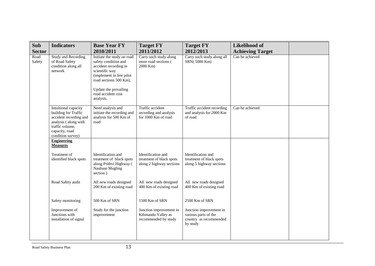| Sub            | <b>Indicators</b>                                                                                                                                        | <b>Base Year FY</b>                                                                                                                                                                                            | <b>Target FY</b>                                                           | <b>Target FY</b>                                                                      | <b>Likelihood of</b>    |  |
|----------------|----------------------------------------------------------------------------------------------------------------------------------------------------------|----------------------------------------------------------------------------------------------------------------------------------------------------------------------------------------------------------------|----------------------------------------------------------------------------|---------------------------------------------------------------------------------------|-------------------------|--|
| <b>Sector</b>  |                                                                                                                                                          | 2010/2011                                                                                                                                                                                                      | 2011/2012                                                                  | 2012/2013                                                                             | <b>Achieving Target</b> |  |
| Road<br>Safety | <b>Study and Recording</b><br>of Road Safety<br>condition along all<br>network                                                                           | Initiate the study on road<br>safety condition and<br>accident recording in<br>scientific way<br>(implement in few pilot<br>road sections 500 Km),<br>Update the prevailing<br>road accident cost<br>analysis. | Carry such study along<br>more road sections (<br>2000 Km)                 | Carry such study along all<br>SRN(5000 Km)                                            | Can be achieved         |  |
|                | Intuitional capacity<br>building for Traffic<br>accident recording and<br>analysis (along with<br>traffic volume,<br>capacity, road<br>condition survey) | Need analysis and<br>initiate the recording and<br>analysis for 500 Km of<br>road                                                                                                                              | Traffic accident<br>recording and analysis<br>for 1000 Km of road          | Traffic accident recording<br>and analysis for 2000 Km<br>of road                     | Can be achieved         |  |
|                | <b>Engineering</b><br><b>Measures</b>                                                                                                                    |                                                                                                                                                                                                                |                                                                            |                                                                                       |                         |  |
|                | Treatment of<br>identified black spots                                                                                                                   | Identification and<br>treatment of black spots<br>along Prithvi Highway (<br>Naubase Mugling<br>section)                                                                                                       | Identification and<br>treatment of black spots<br>along 2 highway sections | Identification and<br>treatment of black spots<br>along 5 highway sections            |                         |  |
|                | Road Safety audit                                                                                                                                        | All new roads designed<br>200 Km of existing road                                                                                                                                                              | All new roads designed<br>400 Km of existing road                          | All new roads designed<br>400 Km of existing road                                     |                         |  |
|                | Safety monitoring                                                                                                                                        | 500 Km of SRN                                                                                                                                                                                                  | 1500 Km of SRN                                                             | 2500 Km of SRN                                                                        |                         |  |
|                | Improvement of<br>Junctions with<br>installation of signal                                                                                               | Study for the junction<br>improvement                                                                                                                                                                          | Junction improvement in<br>Kthmandu Valley as<br>recommended by study      | Junction improvement in<br>various parts of the<br>country as recommended<br>by study |                         |  |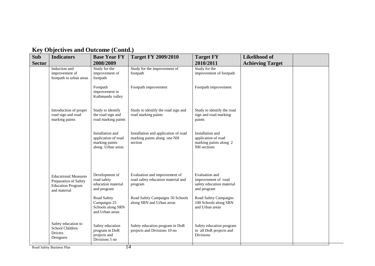| <b>Sub</b><br><b>Sector</b> | <b>Indicators</b>                                                                                | <b>Base Year FY</b><br>2008/2009                                                  | <b>Target FY 2009/2010</b>                                                                                         | <b>Target FY</b><br>2010/2011                                                                              | <b>Likelihood of</b><br><b>Achieving Target</b> |  |
|-----------------------------|--------------------------------------------------------------------------------------------------|-----------------------------------------------------------------------------------|--------------------------------------------------------------------------------------------------------------------|------------------------------------------------------------------------------------------------------------|-------------------------------------------------|--|
|                             | Induction and<br>improvement of<br>footpath in urban areas                                       | Study for the<br>improvement of<br>footpath                                       | Study for the improvement of<br>footpath                                                                           | Study for the<br>improvement of footpath                                                                   |                                                 |  |
|                             |                                                                                                  | Footpath<br>improvement in<br>Kathmandu valley                                    | Footpath improvement                                                                                               | Footpath improvement                                                                                       |                                                 |  |
|                             | Introduction of proper<br>road sign and road<br>marking paints                                   | Study to identify<br>the road sign and<br>road marking paints                     | Study to identify the road sign and<br>road marking paints                                                         | Study to identify the road<br>sign and road marking<br>paints                                              |                                                 |  |
|                             |                                                                                                  | Installation and<br>application of road<br>marking paints<br>along Urban areas    | Installation and application of road<br>marking paints along one NH<br>section                                     | Installation and<br>application of road<br>marking paints along 2<br>NH sections                           |                                                 |  |
|                             | <b>Educational Measures</b><br>Preparation of Safety<br><b>Education Program</b><br>and material | Development of<br>road safety<br>education material<br>and program<br>Road Safety | Evaluation and improvement of<br>road safety education material and<br>program<br>Road Safety Campaigns 50 Schools | Evaluation and<br>improvement of road<br>safety education material<br>and program<br>Road Safety Campaigns |                                                 |  |
|                             |                                                                                                  | Campaigns 25<br>Schools along SRN<br>and Urban areas                              | along SRN and Urban areas                                                                                          | 100 Schools along SRN<br>and Urban areas                                                                   |                                                 |  |
|                             | Safety education to<br>School Children<br>Drivers<br>Designers                                   | Safety education<br>program in DoR<br>projects and<br>Divisions 5 no              | Safety education program in DoR<br>projects and Divisions 10 no                                                    | Safety education program<br>in all DoR projects and<br>Divisions                                           |                                                 |  |

## **Key Objectives and Outcome (Contd.)**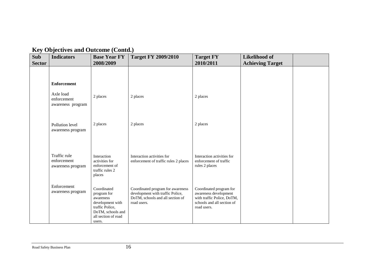| ◡<br><b>Sub</b> | <b>Indicators</b>                                | <b>Base Year FY</b>                                                                                                                  | <b>Target FY 2009/2010</b>                                                                                               | <b>Target FY</b>                                                                                                            | <b>Likelihood of</b>    |  |
|-----------------|--------------------------------------------------|--------------------------------------------------------------------------------------------------------------------------------------|--------------------------------------------------------------------------------------------------------------------------|-----------------------------------------------------------------------------------------------------------------------------|-------------------------|--|
| <b>Sector</b>   |                                                  | 2008/2009                                                                                                                            |                                                                                                                          | 2010/2011                                                                                                                   | <b>Achieving Target</b> |  |
|                 |                                                  |                                                                                                                                      |                                                                                                                          |                                                                                                                             |                         |  |
|                 | <b>Enforcement</b>                               |                                                                                                                                      |                                                                                                                          |                                                                                                                             |                         |  |
|                 | Axle load<br>enforcement<br>awareness program    | 2 places                                                                                                                             | 2 places                                                                                                                 | 2 places                                                                                                                    |                         |  |
|                 |                                                  |                                                                                                                                      |                                                                                                                          |                                                                                                                             |                         |  |
|                 | Pollution level<br>awareness program             | 2 places                                                                                                                             | 2 places                                                                                                                 | 2 places                                                                                                                    |                         |  |
|                 |                                                  |                                                                                                                                      |                                                                                                                          |                                                                                                                             |                         |  |
|                 | Traffic rule<br>enforcement<br>awareness program | Interaction<br>activities for<br>enforcement of<br>traffic rules 2<br>places                                                         | Interaction activities for<br>enforcement of traffic rules 2 places                                                      | Interaction activities for<br>enforcement of traffic<br>rules 2 places                                                      |                         |  |
|                 | Enforcement<br>awareness program                 | Coordinated<br>program for<br>awareness<br>development with<br>traffic Police,<br>DoTM, schools and<br>all section of road<br>users. | Coordinated program for awareness<br>development with traffic Police,<br>DoTM, schools and all section of<br>road users. | Coordinated program for<br>awareness development<br>with traffic Police, DoTM,<br>schools and all section of<br>road users. |                         |  |

## **Key Objectives and Outcome (Contd.)**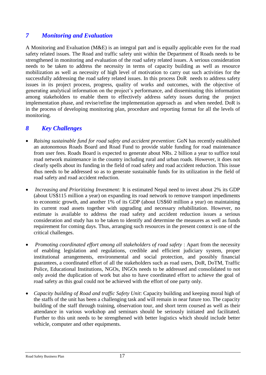## *7 Monitoring and Evaluation*

A Monitoring and Evaluation (M&E) is an integral part and is equally applicable even for the road safety related issues. The Road and traffic safety unit within the Department of Roads needs to be strengthened in monitoring and evaluation of the road safety related issues. A serious consideration needs to be taken to address the necessity in terms of capacity building as well as resource mobilization as well as necessity of high level of motivation to carry out such activities for the successfully addressing the road safety related issues. In this process DoR needs to address safety issues in its project process, progress, quality of works and outcomes, with the objective of generating analytical information on the project's performance, and disseminating this information among stakeholders to enable them to effectively address safety issues during the project implementation phase, and revise/refine the implementation approach as and when needed. DoR is in the process of developing monitoring plan, procedure and reporting format for all the levels of monitoring.

## *8 Key Challenges*

- *Raising sustainable fund for road safety and accident prevention*: GoN has recently established an autonomous Roads Board and Road Fund to provide stable funding for road maintenance from user fees. Roads Board is expected to generate about NRs. 2 billion a year to suffice total road network maintenance in the country including rural and urban roads. However, it does not clearly spells about its funding in the field of road safety and road accident reduction. This issue thus needs to be addressed so as to generate sustainable funds for its utilization in the field of road safety and road accident reduction.
- *Increasing and Prioritizing Investment:* It is estimated Nepal need to invest about 2% its GDP (about US\$115 million a year) on expanding its road network to remove transport impediments to economic growth, and another 1% of its GDP (about US\$60 million a year) on maintaining its current road assets together with upgrading and necessary rehabilitation. However, no estimate is available to address the road safety and accident reduction issues a serious consideration and study has to be taken to identify and determine the measures as well as funds requirement for coming days. Thus, arranging such resources in the present context is one of the critical challenges.
- *Promoting coordinated effort among all stakeholders of road safety* : Apart from the necessity of enabling legislation and regulations, credible and efficient judiciary system, proper institutional arrangements, environmental and social protection, and possibly financial guarantees, a coordinated effort of all the stakeholders such as road users, DoR, DoTM, Traffic Police, Educational Institutions, NGOs, INGOs needs to be addressed and consolidated to not only avoid the duplication of work but also to have coordinated effort to achieve the goal of road safety as this goal could not be achieved with the effort of one party only.
- *Capacity building of Road and traffic Safety Unit*: Capacity building and keeping moral high of the staffs of the unit has been a challenging task and will remain in near future too. The capacity building of the staff through training, observation tour, and short term coursed as well as their attendance in various workshop and seminars should be seriously initiated and facilitated. Further to this unit needs to be strengthened with better logistics which should include better vehicle, computer and other equipments.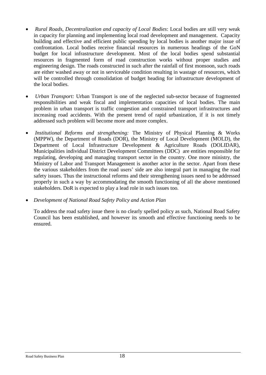- *Rural Roads, Decentralization and capacity of Local Bodies*: Local bodies are still very weak in capacity for planning and implementing local road development and management. Capacity building and effective and efficient public spending by local bodies is another major issue of confrontation. Local bodies receive financial resources in numerous headings of the GoN budget for local infrastructure development. Most of the local bodies spend substantial resources in fragmented form of road construction works without proper studies and engineering design. The roads constructed in such after the rainfall of first monsoon, such roads are either washed away or not in serviceable condition resulting in wastage of resources, which will be controlled through consolidation of budget heading for infrastructure development of the local bodies.
- *Urban Transport:* Urban Transport is one of the neglected sub-sector because of fragmented responsibilities and weak fiscal and implementation capacities of local bodies. The main problem in urban transport is traffic congestion and constrained transport infrastructures and increasing road accidents. With the present trend of rapid urbanization, if it is not timely addressed such problem will become more and more complex.
- *Institutional Reforms and strengthening:* The Ministry of Physical Planning & Works (MPPW), the Department of Roads (DOR), the Ministry of Local Development (MOLD), the Department of Local Infrastructure Development & Agriculture Roads (DOLIDAR), Municipalities individual District Development Committees (DDC) are entities responsible for regulating, developing and managing transport sector in the country. One more ministry, the Ministry of Labor and Transport Management is another actor in the sector. Apart from these the various stakeholders from the road users' side are also integral part in managing the road safety issues. Thus the instructional reforms and their strengthening issues need to be addressed properly in such a way by accommodating the smooth functioning of all the above mentioned stakeholders. DoR is expected to play a lead role in such issues too.
- *Development of National Road Safety Policy and Action Plan*

To address the road safety issue there is no clearly spelled policy as such, National Road Safety Council has been established, and however its smooth and effective functioning needs to be ensured.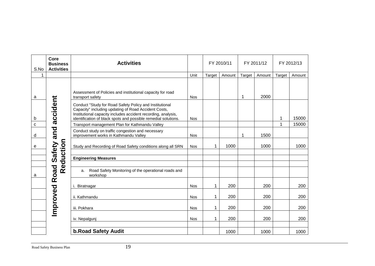| S.No        | Core<br><b>Business</b><br><b>Activities</b> | <b>Activities</b>                                                                                                                                                                                                                                  |            |             | FY 2010/11 |        |        |        | FY 2011/12 |  | FY 2012/13 |  |
|-------------|----------------------------------------------|----------------------------------------------------------------------------------------------------------------------------------------------------------------------------------------------------------------------------------------------------|------------|-------------|------------|--------|--------|--------|------------|--|------------|--|
|             |                                              |                                                                                                                                                                                                                                                    | Unit       | Target      | Amount     | Target | Amount | Target | Amount     |  |            |  |
| a           |                                              | Assessment of Policies and institutional capacity for road<br>transport safety                                                                                                                                                                     | <b>Nos</b> |             |            | 1      | 2000   |        |            |  |            |  |
| b           | Safety and accident                          | Conduct "Study for Road Safety Policy and Institutional<br>Capacity" including updating of Road Accident Costs,<br>Institutional capacity includes accident recording, analysis,<br>identification of black spots and possible remedial solutions. | <b>Nos</b> |             |            |        |        | 1      | 15000      |  |            |  |
| $\mathbf C$ |                                              | Transport management Plan for Kathmandu Valley                                                                                                                                                                                                     |            |             |            |        |        | 1      | 15000      |  |            |  |
| d           |                                              | Conduct study on traffic congestion and necessary<br>improvement works in Kathmandu Valley                                                                                                                                                         | <b>Nos</b> |             |            | 1      | 1500   |        |            |  |            |  |
| e           | Reduction                                    | Study and Recording of Road Safety conditions along all SRN                                                                                                                                                                                        | <b>Nos</b> | 1           | 1000       |        | 1000   |        | 1000       |  |            |  |
|             |                                              | <b>Engineering Measures</b>                                                                                                                                                                                                                        |            |             |            |        |        |        |            |  |            |  |
| a           | Road                                         | Road Safety Monitoring of the operational roads and<br>a.<br>workshop                                                                                                                                                                              |            |             |            |        |        |        |            |  |            |  |
|             |                                              | i. Biratnagar                                                                                                                                                                                                                                      | <b>Nos</b> | 1           | 200        |        | 200    |        | 200        |  |            |  |
|             |                                              | ii. Kathmandu                                                                                                                                                                                                                                      | <b>Nos</b> | 1           | 200        |        | 200    |        | 200        |  |            |  |
|             | Improved                                     | iii. Pokhara                                                                                                                                                                                                                                       | <b>Nos</b> | $\mathbf 1$ | 200        |        | 200    |        | 200        |  |            |  |
|             |                                              | iv. Nepalgunj                                                                                                                                                                                                                                      | <b>Nos</b> | 1           | 200        |        | 200    |        | 200        |  |            |  |
|             |                                              | <b>b.Road Safety Audit</b>                                                                                                                                                                                                                         |            |             | 1000       |        | 1000   |        | 1000       |  |            |  |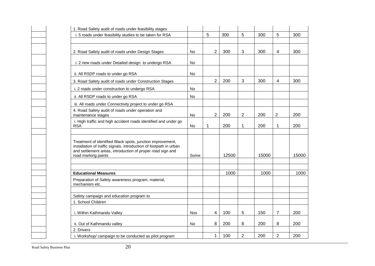| 1. Road Safety audit of roads under feasibility stages                                                                                                                                                                |            |                |       |                |       |                |       |
|-----------------------------------------------------------------------------------------------------------------------------------------------------------------------------------------------------------------------|------------|----------------|-------|----------------|-------|----------------|-------|
| i. 5 roads under feasibility studies to be taken for RSA                                                                                                                                                              |            | 5              | 300   | 5              | 300   | 5              | 300   |
|                                                                                                                                                                                                                       |            |                |       |                |       |                |       |
| 2. Road Safety audit of roads under Design Stages                                                                                                                                                                     | No         | $\overline{2}$ | 300   | 3              | 300   | 4              | 300   |
| i. 2 new roads under Detailed design to undergo RSA                                                                                                                                                                   | No         |                |       |                |       |                |       |
| ii. All RSDP roads to under go RSA                                                                                                                                                                                    | No         |                |       |                |       |                |       |
| 3. Road Safety audit of roads under Construction Stages                                                                                                                                                               |            | $\overline{2}$ | 200   | 3              | 300   | 4              | 300   |
| i. 2 roads under construction to undergo RSA                                                                                                                                                                          | No         |                |       |                |       |                |       |
| ii. All RSDP roads to under go RSA                                                                                                                                                                                    | No         |                |       |                |       |                |       |
| iii. All roads under Connectivity project to under go RSA                                                                                                                                                             |            |                |       |                |       |                |       |
| 4. Road Safety audit of roads under operation and<br>maintenance stages                                                                                                                                               | No         | $\overline{c}$ | 200   | $\overline{2}$ | 200   | $\overline{2}$ | 200   |
| i. High traffic and high accident roads identified and under go<br><b>RSA</b>                                                                                                                                         | No         | 1              | 200   | 1              | 200   | 1              | 200   |
| Treatment of identified Black spots, junction improvement,<br>installation of traffic signals, introduction of footpath in urban<br>and settlement areas, introduction of proper road sign and<br>road marking paints | Some       |                | 12500 |                | 15000 |                | 15000 |
| <b>Educational Measures</b>                                                                                                                                                                                           |            |                | 1000  |                | 1000  |                | 1000  |
| Preparation of Safety awareness program, material,<br>mechanism etc.                                                                                                                                                  |            |                |       |                |       |                |       |
| Safety campaign and education program to                                                                                                                                                                              |            |                |       |                |       |                |       |
| 1. School Children                                                                                                                                                                                                    |            |                |       |                |       |                |       |
| i. Within Kathmandu Valley                                                                                                                                                                                            | <b>Nos</b> | 4              | 100   | 5              | 150   | $\overline{7}$ | 200   |
| ii. Out of Kathmandu valley                                                                                                                                                                                           | No         | 8              | 200   | 8              | 200   | 8              | 200   |
| 2. Drivers                                                                                                                                                                                                            |            |                |       |                |       |                |       |
| i. Workshop/campaign to be conducted as pilot program                                                                                                                                                                 |            | 1              | 100   | $\overline{2}$ | 200   | $\overline{2}$ | 200   |